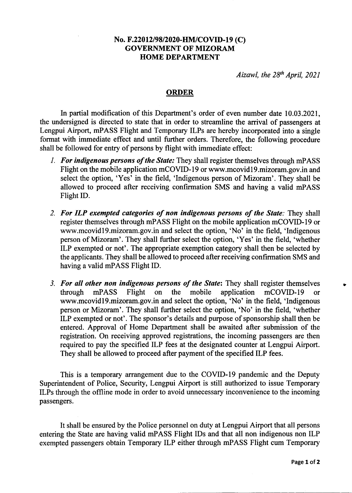## No. F.22012/98/2020-HM/COVID-19 (C) GOVERNMENT OF MIZORAM HOME DEPARTMENT

Aizawl, the  $28<sup>th</sup>$  April, 2021

## ORDER

In partial modification of this Department's order of even number date 10.03 .2021, the undersigned is directed to state that in order to streamline the arrival of passengers at Lengpui Airport, mPASS Flight and Temporary ILPs are hereby incorporated into a single format with immediate effect and until further orders. Therefore, the following procedure shall be followed for entry of persons by flight with immediate effect:

- 1. For indigenous persons of the State: They shall register themselves through mPASS Flight on the mobile application mCOVID-19 or www.mcovidl9.mizoram.gov.in and select the option, 'Yes' in the field, 'Indigenous person of Mizoram'. They shall be allowed to proceed after receiving confirmation SMS and having a valid mPASS Flight ID.
- 2. For ILP exempted categories of non indigenous persons of the State: They shall register themselves through mPASS Flight on the mobile application mCOVID-I9 or www.mcovidl9.mizoram.gov.in and select the option, 'No' in the field, 'Indigenous person of Mizoram'. They shall further select the option, 'Yes' in the field, 'whether ILP exempted or not'. The appropriate exemption category shall then be selected by the applicants. They shall be allowed to proceed after receiving confirmation SMS and having a valid mPASS Flight ID.
- 3. For all other non indigenous persons of the State: They shall register themselves through mPASS Flight on the mobile application mCOVID-19 or through mPASS Flight on the mobile application mCOVID-I9 or www.mcovidl9.mizoram.gov.in and select the option, 'No' in the field, 'Indigenous person or Mizoram'. They shall further select the option, 'No' in the field, 'whether ILP exempted or not'. The sponsor's details and purpose of sponsorship shall then be entered. Approval of Home Department shall be awaited after submission of the registration. On receiving approved registrations, the incoming passengers are then required to pay the specified ILP fees at the designated counter at Lengpui Airport. They shall be allowed to proceed after payment of the specified ILP fees.

This is a temporary arrangement due to the COVID-I9 pandemic and the Deputy Superintendent of Police, Security, Lengpui Airport is still authorized to issue Temporary ILPs through the offline mode in order to avoid unnecessary inconvenience to the incoming passengers.

It shall be ensured by the Police personnel on duty at Lengpui Airport that all persons entering the State are having valid mPASS Flight IDs and that all non indigenous non ILP exempted passengers obtain Temporary ILP either through mPASS Flight cum Temporary

t